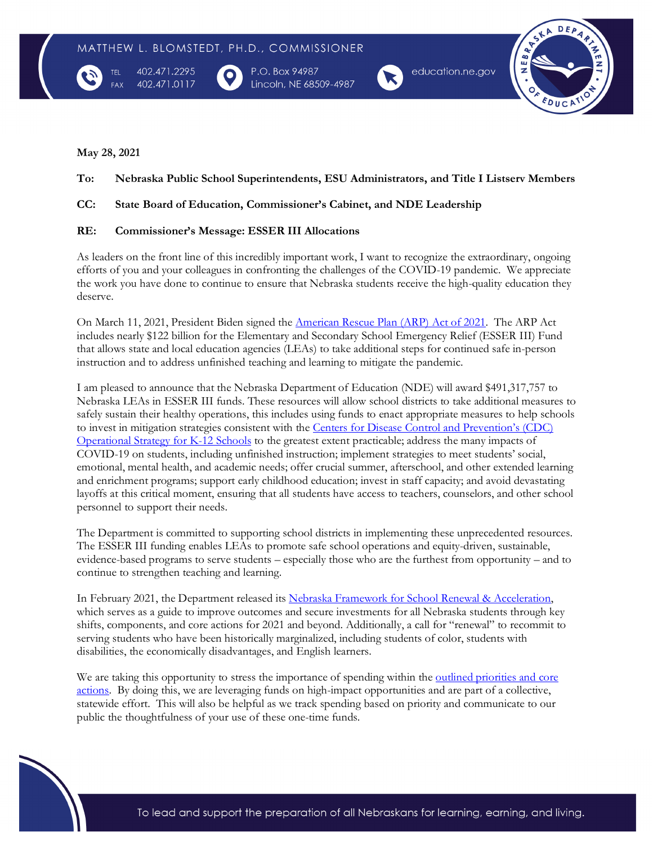

402.471.2295 402.471.0117

P.O. Box 94987 Lincoln, NE 68509-4987



 $DEP$ Ê

## **May 28, 2021**

# **To: Nebraska Public School Superintendents, ESU Administrators, and Title I Listserv Members**

# **CC: State Board of Education, Commissioner's Cabinet, and NDE Leadership**

## **RE: Commissioner's Message: ESSER III Allocations**

As leaders on the front line of this incredibly important work, I want to recognize the extraordinary, ongoing efforts of you and your colleagues in confronting the challenges of the COVID-19 pandemic. We appreciate the work you have done to continue to ensure that Nebraska students receive the high-quality education they deserve.

On March 11, 2021, President Biden signed the [American Rescue Plan \(ARP\) Act of 2021.](https://www.congress.gov/bill/117th-congress/house-bill/1319/text#toc-HC9CE46A721204EB081A88ACD8FB287D5) The ARP Act includes nearly \$122 billion for the Elementary and Secondary School Emergency Relief (ESSER III) Fund that allows state and local education agencies (LEAs) to take additional steps for continued safe in-person instruction and to address unfinished teaching and learning to mitigate the pandemic.

I am pleased to announce that the Nebraska Department of Education (NDE) will award \$491,317,757 to Nebraska LEAs in ESSER III funds. These resources will allow school districts to take additional measures to safely sustain their healthy operations, this includes using funds to enact appropriate measures to help schools to invest in mitigation strategies consistent with the [Centers for Disease Control and Prevention's \(CDC\)](https://www.cdc.gov/coronavirus/2019-ncov/community/schools-childcare/operation-strategy.html)  [Operational Strategy for K-12 Schools](https://www.cdc.gov/coronavirus/2019-ncov/community/schools-childcare/operation-strategy.html) to the greatest extent practicable; address the many impacts of COVID-19 on students, including unfinished instruction; implement strategies to meet students' social, emotional, mental health, and academic needs; offer crucial summer, afterschool, and other extended learning and enrichment programs; support early childhood education; invest in staff capacity; and avoid devastating layoffs at this critical moment, ensuring that all students have access to teachers, counselors, and other school personnel to support their needs.

The Department is committed to supporting school districts in implementing these unprecedented resources. The ESSER III funding enables LEAs to promote safe school operations and equity-driven, sustainable, evidence-based programs to serve students – especially those who are the furthest from opportunity – and to continue to strengthen teaching and learning.

In February 2021, the Department released its Nebraska Framework for School Renewal & Acceleration, which serves as a guide to improve outcomes and secure investments for all Nebraska students through key shifts, components, and core actions for 2021 and beyond. Additionally, a call for "renewal" to recommit to serving students who have been historically marginalized, including students of color, students with disabilities, the economically disadvantages, and English learners.

We are taking this opportunity to stress the importance of spending within the <u>outlined priorities and core</u> [actions.](https://www.launchne.com/wp-content/uploads/2021/02/School-Renewal-and-Acceleration.pdf) By doing this, we are leveraging funds on high-impact opportunities and are part of a collective, statewide effort. This will also be helpful as we track spending based on priority and communicate to our public the thoughtfulness of your use of these one-time funds.